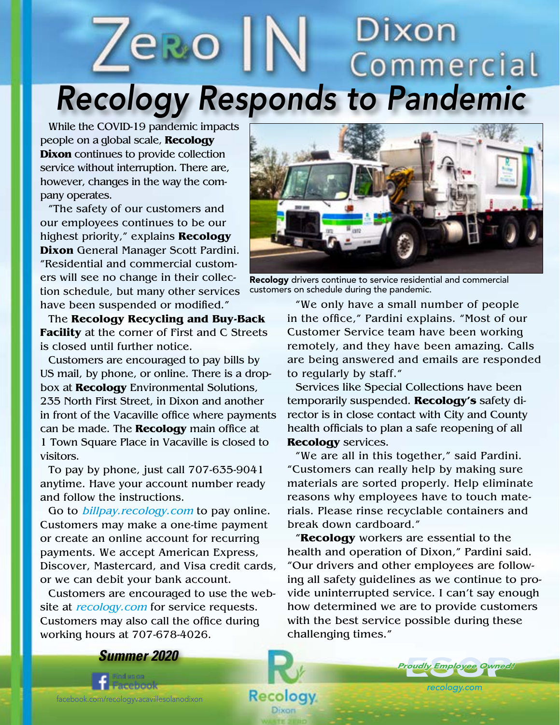# Dixon *Recology Responds to Pandemic*

**Recology** Dixon

While the COVID-19 pandemic impacts people on a global scale, **Recology Dixon** continues to provide collection service without interruption. There are, however, changes in the way the company operates.

"The safety of our customers and our employees continues to be our highest priority," explains **Recology Dixon** General Manager Scott Pardini. "Residential and commercial customers will see no change in their collection schedule, but many other services have been suspended or modified."

The **Recology Recycling and Buy-Back Facility** at the corner of First and C Streets is closed until further notice.

Customers are encouraged to pay bills by US mail, by phone, or online. There is a dropbox at **Recology** Environmental Solutions, 235 North First Street, in Dixon and another in front of the Vacaville office where payments can be made. The **Recology** main office at 1 Town Square Place in Vacaville is closed to visitors.

To pay by phone, just call 707-635-9041 anytime. Have your account number ready and follow the instructions.

Go to *billpay.recology.com* to pay online. Customers may make a one-time payment or create an online account for recurring payments. We accept American Express, Discover, Mastercard, and Visa credit cards, or we can debit your bank account.

Customers are encouraged to use the website at *recology.com* for service requests. Customers may also call the office during working hours at 707-678-4026.



Recology drivers continue to service residential and commercial customers on schedule during the pandemic.

"We only have a small number of people in the office," Pardini explains. "Most of our Customer Service team have been working remotely, and they have been amazing. Calls are being answered and emails are responded to regularly by staff."

Services like Special Collections have been temporarily suspended. **Recology's** safety director is in close contact with City and County health officials to plan a safe reopening of all **Recology** services.

"We are all in this together," said Pardini. "Customers can really help by making sure materials are sorted properly. Help eliminate reasons why employees have to touch materials. Please rinse recyclable containers and break down cardboard."

"**Recology** workers are essential to the health and operation of Dixon," Pardini said. "Our drivers and other employees are following all safety guidelines as we continue to provide uninterrupted service. I can't say enough how determined we are to provide customers with the best service possible during these challenging times."

*recology.com*

*Proudly Employee Owned!* roudly Employee Owned



facebook.com/recologyvacavillesolanodixon